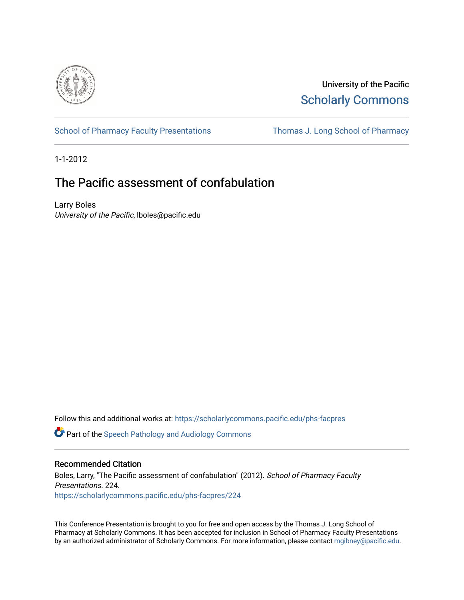

University of the Pacific [Scholarly Commons](https://scholarlycommons.pacific.edu/) 

[School of Pharmacy Faculty Presentations](https://scholarlycommons.pacific.edu/phs-facpres) Thomas J. Long School of Pharmacy

1-1-2012

# The Pacific assessment of confabulation

Larry Boles University of the Pacific, lboles@pacific.edu

Follow this and additional works at: [https://scholarlycommons.pacific.edu/phs-facpres](https://scholarlycommons.pacific.edu/phs-facpres?utm_source=scholarlycommons.pacific.edu%2Fphs-facpres%2F224&utm_medium=PDF&utm_campaign=PDFCoverPages) 

**C** Part of the Speech Pathology and Audiology Commons

## Recommended Citation

Boles, Larry, "The Pacific assessment of confabulation" (2012). School of Pharmacy Faculty Presentations. 224. [https://scholarlycommons.pacific.edu/phs-facpres/224](https://scholarlycommons.pacific.edu/phs-facpres/224?utm_source=scholarlycommons.pacific.edu%2Fphs-facpres%2F224&utm_medium=PDF&utm_campaign=PDFCoverPages) 

This Conference Presentation is brought to you for free and open access by the Thomas J. Long School of Pharmacy at Scholarly Commons. It has been accepted for inclusion in School of Pharmacy Faculty Presentations by an authorized administrator of Scholarly Commons. For more information, please contact [mgibney@pacific.edu](mailto:mgibney@pacific.edu).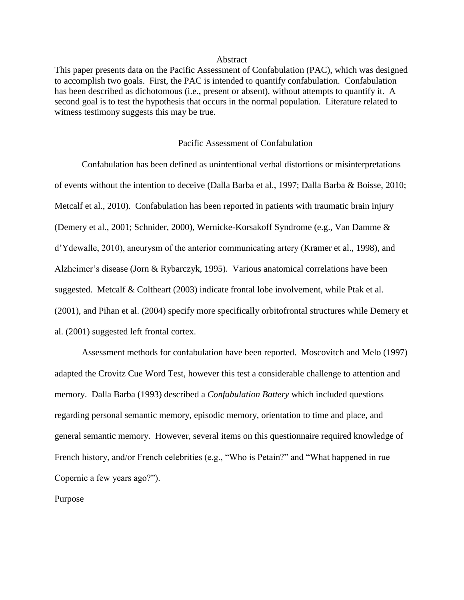#### Abstract

This paper presents data on the Pacific Assessment of Confabulation (PAC), which was designed to accomplish two goals. First, the PAC is intended to quantify confabulation. Confabulation has been described as dichotomous (i.e., present or absent), without attempts to quantify it. A second goal is to test the hypothesis that occurs in the normal population. Literature related to witness testimony suggests this may be true.

## Pacific Assessment of Confabulation

Confabulation has been defined as unintentional verbal distortions or misinterpretations of events without the intention to deceive (Dalla Barba et al., 1997; Dalla Barba & Boisse, 2010; Metcalf et al., 2010). Confabulation has been reported in patients with traumatic brain injury (Demery et al., 2001; Schnider, 2000), Wernicke-Korsakoff Syndrome (e.g., Van Damme & d"Ydewalle, 2010), aneurysm of the anterior communicating artery (Kramer et al., 1998), and Alzheimer's disease (Jorn & Rybarczyk, 1995). Various anatomical correlations have been suggested. Metcalf & Coltheart (2003) indicate frontal lobe involvement, while Ptak et al. (2001), and Pihan et al. (2004) specify more specifically orbitofrontal structures while Demery et al. (2001) suggested left frontal cortex.

Assessment methods for confabulation have been reported. Moscovitch and Melo (1997) adapted the Crovitz Cue Word Test, however this test a considerable challenge to attention and memory. Dalla Barba (1993) described a *Confabulation Battery* which included questions regarding personal semantic memory, episodic memory, orientation to time and place, and general semantic memory. However, several items on this questionnaire required knowledge of French history, and/or French celebrities (e.g., "Who is Petain?" and "What happened in rue Copernic a few years ago?").

Purpose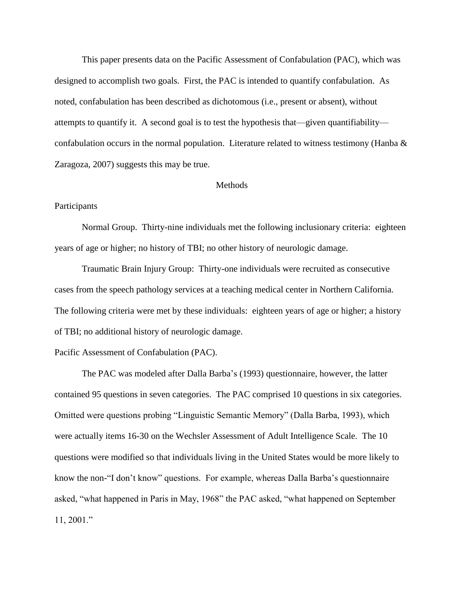This paper presents data on the Pacific Assessment of Confabulation (PAC), which was designed to accomplish two goals. First, the PAC is intended to quantify confabulation. As noted, confabulation has been described as dichotomous (i.e., present or absent), without attempts to quantify it. A second goal is to test the hypothesis that—given quantifiability confabulation occurs in the normal population. Literature related to witness testimony (Hanba  $\&$ Zaragoza, 2007) suggests this may be true.

#### Methods

# Participants

Normal Group. Thirty-nine individuals met the following inclusionary criteria: eighteen years of age or higher; no history of TBI; no other history of neurologic damage.

Traumatic Brain Injury Group: Thirty-one individuals were recruited as consecutive cases from the speech pathology services at a teaching medical center in Northern California. The following criteria were met by these individuals: eighteen years of age or higher; a history of TBI; no additional history of neurologic damage.

#### Pacific Assessment of Confabulation (PAC).

The PAC was modeled after Dalla Barba"s (1993) questionnaire, however, the latter contained 95 questions in seven categories. The PAC comprised 10 questions in six categories. Omitted were questions probing "Linguistic Semantic Memory" (Dalla Barba, 1993), which were actually items 16-30 on the Wechsler Assessment of Adult Intelligence Scale. The 10 questions were modified so that individuals living in the United States would be more likely to know the non-"I don"t know" questions. For example, whereas Dalla Barba"s questionnaire asked, "what happened in Paris in May, 1968" the PAC asked, "what happened on September 11, 2001."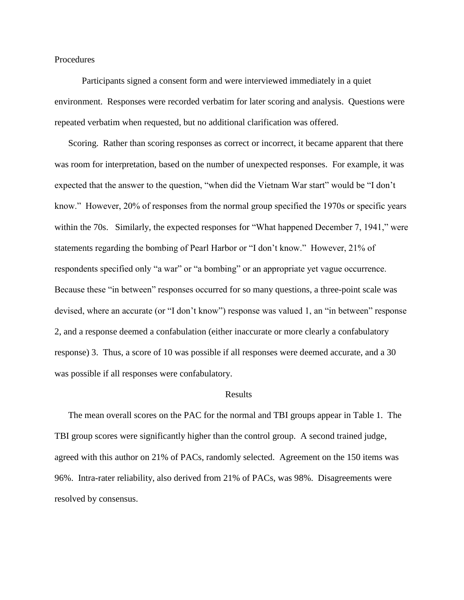#### Procedures

Participants signed a consent form and were interviewed immediately in a quiet environment. Responses were recorded verbatim for later scoring and analysis. Questions were repeated verbatim when requested, but no additional clarification was offered.

Scoring. Rather than scoring responses as correct or incorrect, it became apparent that there was room for interpretation, based on the number of unexpected responses. For example, it was expected that the answer to the question, "when did the Vietnam War start" would be "I don"t know." However, 20% of responses from the normal group specified the 1970s or specific years within the 70s. Similarly, the expected responses for "What happened December 7, 1941," were statements regarding the bombing of Pearl Harbor or "I don"t know." However, 21% of respondents specified only "a war" or "a bombing" or an appropriate yet vague occurrence. Because these "in between" responses occurred for so many questions, a three-point scale was devised, where an accurate (or "I don't know") response was valued 1, an "in between" response 2, and a response deemed a confabulation (either inaccurate or more clearly a confabulatory response) 3. Thus, a score of 10 was possible if all responses were deemed accurate, and a 30 was possible if all responses were confabulatory.

#### Results

The mean overall scores on the PAC for the normal and TBI groups appear in Table 1. The TBI group scores were significantly higher than the control group. A second trained judge, agreed with this author on 21% of PACs, randomly selected. Agreement on the 150 items was 96%. Intra-rater reliability, also derived from 21% of PACs, was 98%. Disagreements were resolved by consensus.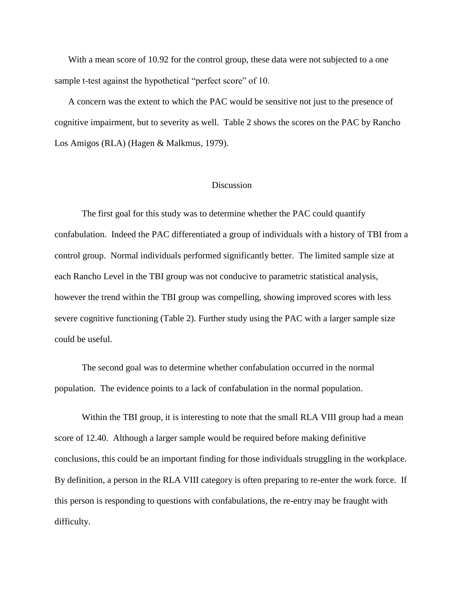With a mean score of 10.92 for the control group, these data were not subjected to a one sample t-test against the hypothetical "perfect score" of 10.

A concern was the extent to which the PAC would be sensitive not just to the presence of cognitive impairment, but to severity as well. Table 2 shows the scores on the PAC by Rancho Los Amigos (RLA) (Hagen & Malkmus, 1979).

# **Discussion**

The first goal for this study was to determine whether the PAC could quantify confabulation. Indeed the PAC differentiated a group of individuals with a history of TBI from a control group. Normal individuals performed significantly better. The limited sample size at each Rancho Level in the TBI group was not conducive to parametric statistical analysis, however the trend within the TBI group was compelling, showing improved scores with less severe cognitive functioning (Table 2). Further study using the PAC with a larger sample size could be useful.

The second goal was to determine whether confabulation occurred in the normal population. The evidence points to a lack of confabulation in the normal population.

Within the TBI group, it is interesting to note that the small RLA VIII group had a mean score of 12.40. Although a larger sample would be required before making definitive conclusions, this could be an important finding for those individuals struggling in the workplace. By definition, a person in the RLA VIII category is often preparing to re-enter the work force. If this person is responding to questions with confabulations, the re-entry may be fraught with difficulty.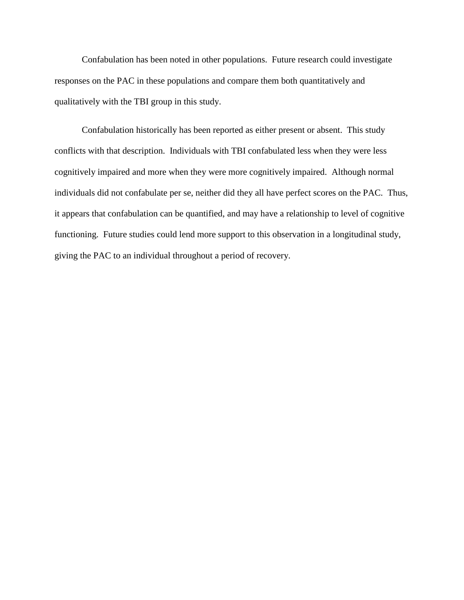Confabulation has been noted in other populations. Future research could investigate responses on the PAC in these populations and compare them both quantitatively and qualitatively with the TBI group in this study.

Confabulation historically has been reported as either present or absent. This study conflicts with that description. Individuals with TBI confabulated less when they were less cognitively impaired and more when they were more cognitively impaired. Although normal individuals did not confabulate per se, neither did they all have perfect scores on the PAC. Thus, it appears that confabulation can be quantified, and may have a relationship to level of cognitive functioning. Future studies could lend more support to this observation in a longitudinal study, giving the PAC to an individual throughout a period of recovery.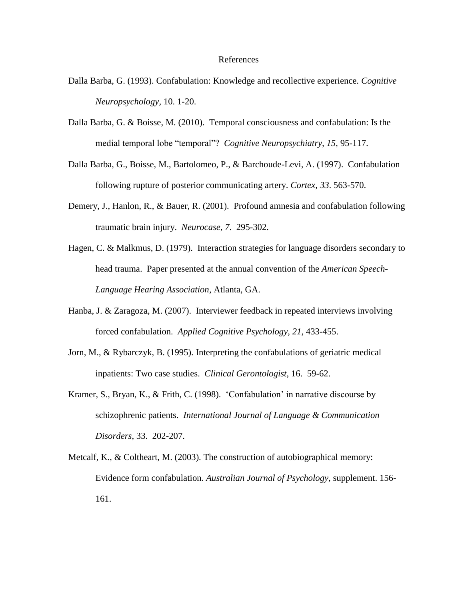#### References

- Dalla Barba, G. (1993). Confabulation: Knowledge and recollective experience. *Cognitive Neuropsychology,* 10. 1-20.
- Dalla Barba, G. & Boisse, M. (2010). Temporal consciousness and confabulation: Is the medial temporal lobe "temporal"? *Cognitive Neuropsychiatry, 15*, 95-117.
- Dalla Barba, G., Boisse, M., Bartolomeo, P., & Barchoude-Levi, A. (1997). Confabulation following rupture of posterior communicating artery. *Cortex, 33*. 563-570.
- Demery, J., Hanlon, R., & Bauer, R. (2001). Profound amnesia and confabulation following traumatic brain injury. *Neurocase*, *7*. 295-302.
- Hagen, C. & Malkmus, D. (1979). Interaction strategies for language disorders secondary to head trauma. Paper presented at the annual convention of the *American Speech-Language Hearing Association*, Atlanta, GA.
- Hanba, J. & Zaragoza, M. (2007). Interviewer feedback in repeated interviews involving forced confabulation. *Applied Cognitive Psychology, 21*, 433-455.
- Jorn, M., & Rybarczyk, B. (1995). Interpreting the confabulations of geriatric medical inpatients: Two case studies. *Clinical Gerontologist*, 16. 59-62.
- Kramer, S., Bryan, K., & Frith, C. (1998). "Confabulation" in narrative discourse by schizophrenic patients. *International Journal of Language & Communication Disorders*, 33. 202-207.
- Metcalf, K., & Coltheart, M. (2003). The construction of autobiographical memory: Evidence form confabulation. *Australian Journal of Psychology,* supplement. 156- 161.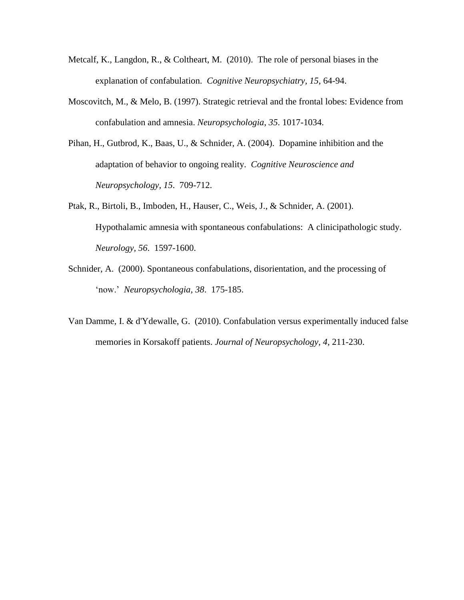- Metcalf, K., Langdon, R., & Coltheart, M. (2010). The role of personal biases in the explanation of confabulation. *Cognitive Neuropsychiatry, 15*, 64-94.
- Moscovitch, M., & Melo, B. (1997). Strategic retrieval and the frontal lobes: Evidence from confabulation and amnesia. *Neuropsychologia*, *35*. 1017-1034.
- Pihan, H., Gutbrod, K., Baas, U., & Schnider, A. (2004). Dopamine inhibition and the adaptation of behavior to ongoing reality. *Cognitive Neuroscience and Neuropsychology, 15*. 709-712.
- Ptak, R., Birtoli, B., Imboden, H., Hauser, C., Weis, J., & Schnider, A. (2001). Hypothalamic amnesia with spontaneous confabulations: A clinicipathologic study. *Neurology, 56*. 1597-1600.
- Schnider, A. (2000). Spontaneous confabulations, disorientation, and the processing of "now." *Neuropsychologia, 38*. 175-185.
- Van Damme, I. & d'Ydewalle, G. (2010). Confabulation versus experimentally induced false memories in Korsakoff patients. *Journal of Neuropsychology, 4*, 211-230.